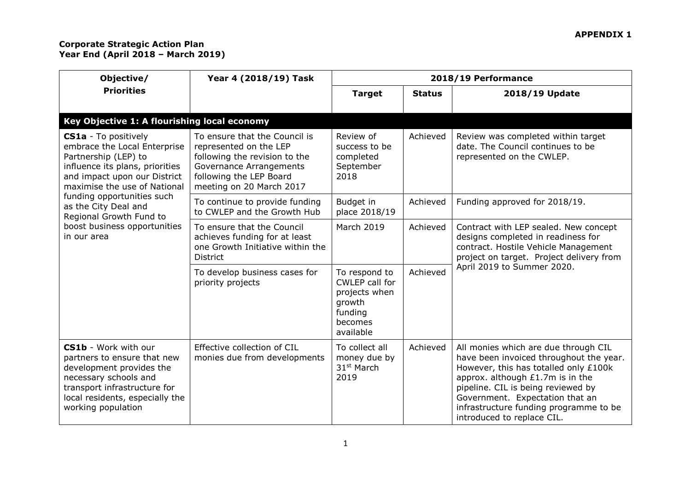| Objective/                                                                                                                                                                                                                                                                                                             | Year 4 (2018/19) Task                                                                                                                                                             | 2018/19 Performance                                                                           |               |                                                                                                                                                                                                                                                                                                               |  |
|------------------------------------------------------------------------------------------------------------------------------------------------------------------------------------------------------------------------------------------------------------------------------------------------------------------------|-----------------------------------------------------------------------------------------------------------------------------------------------------------------------------------|-----------------------------------------------------------------------------------------------|---------------|---------------------------------------------------------------------------------------------------------------------------------------------------------------------------------------------------------------------------------------------------------------------------------------------------------------|--|
| <b>Priorities</b>                                                                                                                                                                                                                                                                                                      |                                                                                                                                                                                   | <b>Target</b>                                                                                 | <b>Status</b> | 2018/19 Update                                                                                                                                                                                                                                                                                                |  |
| Key Objective 1: A flourishing local economy                                                                                                                                                                                                                                                                           |                                                                                                                                                                                   |                                                                                               |               |                                                                                                                                                                                                                                                                                                               |  |
| <b>CS1a</b> - To positively<br>embrace the Local Enterprise<br>Partnership (LEP) to<br>influence its plans, priorities<br>and impact upon our District<br>maximise the use of National<br>funding opportunities such<br>as the City Deal and<br>Regional Growth Fund to<br>boost business opportunities<br>in our area | To ensure that the Council is<br>represented on the LEP<br>following the revision to the<br><b>Governance Arrangements</b><br>following the LEP Board<br>meeting on 20 March 2017 | Review of<br>success to be<br>completed<br>September<br>2018                                  | Achieved      | Review was completed within target<br>date. The Council continues to be<br>represented on the CWLEP.                                                                                                                                                                                                          |  |
|                                                                                                                                                                                                                                                                                                                        | To continue to provide funding<br>to CWLEP and the Growth Hub                                                                                                                     | Budget in<br>place 2018/19                                                                    | Achieved      | Funding approved for 2018/19.                                                                                                                                                                                                                                                                                 |  |
|                                                                                                                                                                                                                                                                                                                        | To ensure that the Council<br>achieves funding for at least<br>one Growth Initiative within the<br><b>District</b>                                                                | March 2019                                                                                    | Achieved      | Contract with LEP sealed. New concept<br>designs completed in readiness for<br>contract. Hostile Vehicle Management<br>project on target. Project delivery from<br>April 2019 to Summer 2020.                                                                                                                 |  |
|                                                                                                                                                                                                                                                                                                                        | To develop business cases for<br>priority projects                                                                                                                                | To respond to<br>CWLEP call for<br>projects when<br>growth<br>funding<br>becomes<br>available | Achieved      |                                                                                                                                                                                                                                                                                                               |  |
| <b>CS1b</b> - Work with our<br>partners to ensure that new<br>development provides the<br>necessary schools and<br>transport infrastructure for<br>local residents, especially the<br>working population                                                                                                               | Effective collection of CIL<br>monies due from developments                                                                                                                       | To collect all<br>money due by<br>31 <sup>st</sup> March<br>2019                              | Achieved      | All monies which are due through CIL<br>have been invoiced throughout the year.<br>However, this has totalled only £100k<br>approx. although £1.7m is in the<br>pipeline. CIL is being reviewed by<br>Government. Expectation that an<br>infrastructure funding programme to be<br>introduced to replace CIL. |  |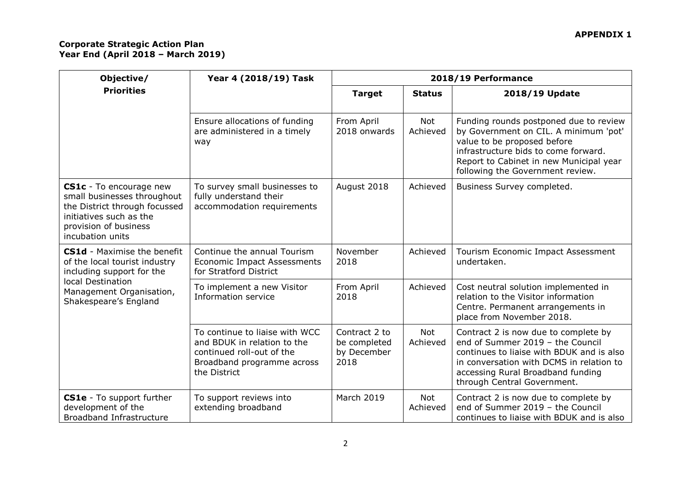| Objective/                                                                                                                                                      | Year 4 (2018/19) Task                                                                                                                    | 2018/19 Performance                                  |                 |                                                                                                                                                                                                                                       |
|-----------------------------------------------------------------------------------------------------------------------------------------------------------------|------------------------------------------------------------------------------------------------------------------------------------------|------------------------------------------------------|-----------------|---------------------------------------------------------------------------------------------------------------------------------------------------------------------------------------------------------------------------------------|
| <b>Priorities</b>                                                                                                                                               |                                                                                                                                          | <b>Target</b>                                        | <b>Status</b>   | 2018/19 Update                                                                                                                                                                                                                        |
|                                                                                                                                                                 | Ensure allocations of funding<br>are administered in a timely<br>way                                                                     | From April<br>2018 onwards                           | Not<br>Achieved | Funding rounds postponed due to review<br>by Government on CIL. A minimum 'pot'<br>value to be proposed before<br>infrastructure bids to come forward.<br>Report to Cabinet in new Municipal year<br>following the Government review. |
| CS1c - To encourage new<br>small businesses throughout<br>the District through focussed<br>initiatives such as the<br>provision of business<br>incubation units | To survey small businesses to<br>fully understand their<br>accommodation requirements                                                    | August 2018                                          | Achieved        | Business Survey completed.                                                                                                                                                                                                            |
| <b>CS1d</b> - Maximise the benefit<br>of the local tourist industry<br>including support for the                                                                | Continue the annual Tourism<br><b>Economic Impact Assessments</b><br>for Stratford District                                              | November<br>2018                                     | Achieved        | Tourism Economic Impact Assessment<br>undertaken.                                                                                                                                                                                     |
| local Destination<br>Management Organisation,<br>Shakespeare's England                                                                                          | To implement a new Visitor<br>Information service                                                                                        | From April<br>2018                                   | Achieved        | Cost neutral solution implemented in<br>relation to the Visitor information<br>Centre. Permanent arrangements in<br>place from November 2018.                                                                                         |
|                                                                                                                                                                 | To continue to liaise with WCC<br>and BDUK in relation to the<br>continued roll-out of the<br>Broadband programme across<br>the District | Contract 2 to<br>be completed<br>by December<br>2018 | Not<br>Achieved | Contract 2 is now due to complete by<br>end of Summer 2019 - the Council<br>continues to liaise with BDUK and is also<br>in conversation with DCMS in relation to<br>accessing Rural Broadband funding<br>through Central Government. |
| CS1e - To support further<br>development of the<br>Broadband Infrastructure                                                                                     | To support reviews into<br>extending broadband                                                                                           | March 2019                                           | Not<br>Achieved | Contract 2 is now due to complete by<br>end of Summer 2019 - the Council<br>continues to liaise with BDUK and is also                                                                                                                 |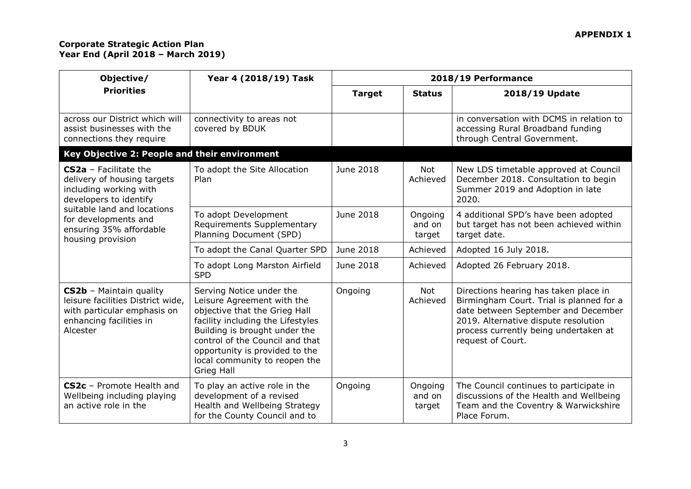| Objective/                                                                                                                         | Year 4 (2018/19) Task                                                                                                                                                                                                                                                             | 2018/19 Performance |                             |                                                                                                                                                                                                                                |
|------------------------------------------------------------------------------------------------------------------------------------|-----------------------------------------------------------------------------------------------------------------------------------------------------------------------------------------------------------------------------------------------------------------------------------|---------------------|-----------------------------|--------------------------------------------------------------------------------------------------------------------------------------------------------------------------------------------------------------------------------|
| <b>Priorities</b>                                                                                                                  |                                                                                                                                                                                                                                                                                   | <b>Target</b>       | <b>Status</b>               | 2018/19 Update                                                                                                                                                                                                                 |
| across our District which will<br>assist businesses with the<br>connections they require                                           | connectivity to areas not<br>covered by BDUK                                                                                                                                                                                                                                      |                     |                             | in conversation with DCMS in relation to<br>accessing Rural Broadband funding<br>through Central Government.                                                                                                                   |
| Key Objective 2: People and their environment                                                                                      |                                                                                                                                                                                                                                                                                   |                     |                             |                                                                                                                                                                                                                                |
| <b>CS2a</b> - Facilitate the<br>delivery of housing targets<br>including working with<br>developers to identify                    | To adopt the Site Allocation<br>Plan                                                                                                                                                                                                                                              | June 2018           | <b>Not</b><br>Achieved      | New LDS timetable approved at Council<br>December 2018. Consultation to begin<br>Summer 2019 and Adoption in late<br>2020.                                                                                                     |
| suitable land and locations<br>for developments and<br>ensuring 35% affordable<br>housing provision                                | To adopt Development<br>Requirements Supplementary<br>Planning Document (SPD)                                                                                                                                                                                                     | June 2018           | Ongoing<br>and on<br>target | 4 additional SPD's have been adopted<br>but target has not been achieved within<br>target date.                                                                                                                                |
|                                                                                                                                    | To adopt the Canal Quarter SPD                                                                                                                                                                                                                                                    | June 2018           | Achieved                    | Adopted 16 July 2018.                                                                                                                                                                                                          |
|                                                                                                                                    | To adopt Long Marston Airfield<br><b>SPD</b>                                                                                                                                                                                                                                      | June 2018           | Achieved                    | Adopted 26 February 2018.                                                                                                                                                                                                      |
| CS2b - Maintain quality<br>leisure facilities District wide,<br>with particular emphasis on<br>enhancing facilities in<br>Alcester | Serving Notice under the<br>Leisure Agreement with the<br>objective that the Grieg Hall<br>facility including the Lifestyles<br>Building is brought under the<br>control of the Council and that<br>opportunity is provided to the<br>local community to reopen the<br>Grieg Hall | Ongoing             | <b>Not</b><br>Achieved      | Directions hearing has taken place in<br>Birmingham Court. Trial is planned for a<br>date between September and December<br>2019. Alternative dispute resolution<br>process currently being undertaken at<br>request of Court. |
| CS2c - Promote Health and<br>Wellbeing including playing<br>an active role in the                                                  | To play an active role in the<br>development of a revised<br>Health and Wellbeing Strategy<br>for the County Council and to                                                                                                                                                       | Ongoing             | Ongoing<br>and on<br>target | The Council continues to participate in<br>discussions of the Health and Wellbeing<br>Team and the Coventry & Warwickshire<br>Place Forum.                                                                                     |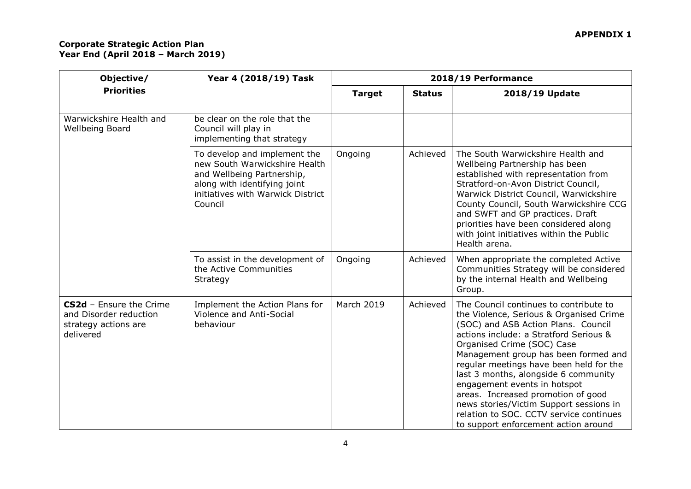| Objective/                                                                                    | Year 4 (2018/19) Task                                                                                                                                                       |                   | 2018/19 Performance |                                                                                                                                                                                                                                                                                                                                                                                                                                                                                                                                 |
|-----------------------------------------------------------------------------------------------|-----------------------------------------------------------------------------------------------------------------------------------------------------------------------------|-------------------|---------------------|---------------------------------------------------------------------------------------------------------------------------------------------------------------------------------------------------------------------------------------------------------------------------------------------------------------------------------------------------------------------------------------------------------------------------------------------------------------------------------------------------------------------------------|
| <b>Priorities</b>                                                                             |                                                                                                                                                                             | <b>Target</b>     | <b>Status</b>       | 2018/19 Update                                                                                                                                                                                                                                                                                                                                                                                                                                                                                                                  |
| Warwickshire Health and<br>Wellbeing Board                                                    | be clear on the role that the<br>Council will play in<br>implementing that strategy                                                                                         |                   |                     |                                                                                                                                                                                                                                                                                                                                                                                                                                                                                                                                 |
|                                                                                               | To develop and implement the<br>new South Warwickshire Health<br>and Wellbeing Partnership,<br>along with identifying joint<br>initiatives with Warwick District<br>Council | Ongoing           | Achieved            | The South Warwickshire Health and<br>Wellbeing Partnership has been<br>established with representation from<br>Stratford-on-Avon District Council,<br>Warwick District Council, Warwickshire<br>County Council, South Warwickshire CCG<br>and SWFT and GP practices. Draft<br>priorities have been considered along<br>with joint initiatives within the Public<br>Health arena.                                                                                                                                                |
|                                                                                               | To assist in the development of<br>the Active Communities<br>Strategy                                                                                                       | Ongoing           | Achieved            | When appropriate the completed Active<br>Communities Strategy will be considered<br>by the internal Health and Wellbeing<br>Group.                                                                                                                                                                                                                                                                                                                                                                                              |
| <b>CS2d</b> - Ensure the Crime<br>and Disorder reduction<br>strategy actions are<br>delivered | Implement the Action Plans for<br><b>Violence and Anti-Social</b><br>behaviour                                                                                              | <b>March 2019</b> | Achieved            | The Council continues to contribute to<br>the Violence, Serious & Organised Crime<br>(SOC) and ASB Action Plans. Council<br>actions include: a Stratford Serious &<br>Organised Crime (SOC) Case<br>Management group has been formed and<br>regular meetings have been held for the<br>last 3 months, alongside 6 community<br>engagement events in hotspot<br>areas. Increased promotion of good<br>news stories/Victim Support sessions in<br>relation to SOC. CCTV service continues<br>to support enforcement action around |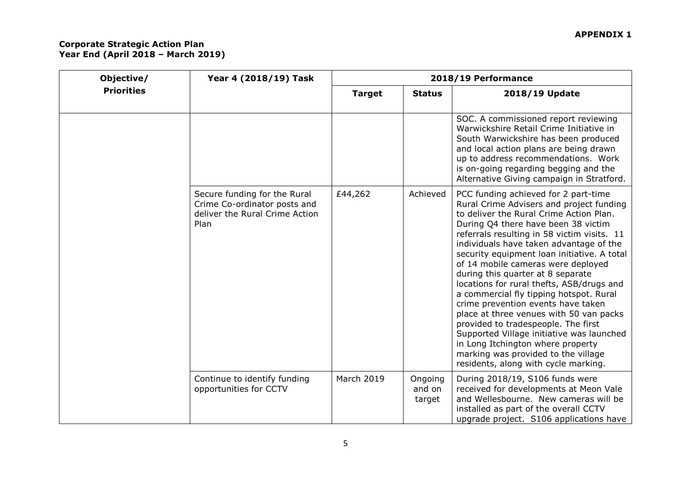|                   | Objective/ | Year 4 (2018/19) Task                                                                                  | 2018/19 Performance |                             |                                                                                                                                                                                                                                                                                                                                                                                                                                                                                                                                                                                                                                                                                                                                                                         |
|-------------------|------------|--------------------------------------------------------------------------------------------------------|---------------------|-----------------------------|-------------------------------------------------------------------------------------------------------------------------------------------------------------------------------------------------------------------------------------------------------------------------------------------------------------------------------------------------------------------------------------------------------------------------------------------------------------------------------------------------------------------------------------------------------------------------------------------------------------------------------------------------------------------------------------------------------------------------------------------------------------------------|
| <b>Priorities</b> |            | <b>Target</b>                                                                                          | <b>Status</b>       | 2018/19 Update              |                                                                                                                                                                                                                                                                                                                                                                                                                                                                                                                                                                                                                                                                                                                                                                         |
|                   |            |                                                                                                        |                     |                             | SOC. A commissioned report reviewing<br>Warwickshire Retail Crime Initiative in<br>South Warwickshire has been produced<br>and local action plans are being drawn<br>up to address recommendations. Work<br>is on-going regarding begging and the<br>Alternative Giving campaign in Stratford.                                                                                                                                                                                                                                                                                                                                                                                                                                                                          |
|                   |            | Secure funding for the Rural<br>Crime Co-ordinator posts and<br>deliver the Rural Crime Action<br>Plan | £44,262             | Achieved                    | PCC funding achieved for 2 part-time<br>Rural Crime Advisers and project funding<br>to deliver the Rural Crime Action Plan.<br>During Q4 there have been 38 victim<br>referrals resulting in 58 victim visits. 11<br>individuals have taken advantage of the<br>security equipment loan initiative. A total<br>of 14 mobile cameras were deployed<br>during this quarter at 8 separate<br>locations for rural thefts, ASB/drugs and<br>a commercial fly tipping hotspot. Rural<br>crime prevention events have taken<br>place at three venues with 50 van packs<br>provided to tradespeople. The first<br>Supported Village initiative was launched<br>in Long Itchington where property<br>marking was provided to the village<br>residents, along with cycle marking. |
|                   |            | Continue to identify funding<br>opportunities for CCTV                                                 | <b>March 2019</b>   | Ongoing<br>and on<br>target | During 2018/19, S106 funds were<br>received for developments at Meon Vale<br>and Wellesbourne. New cameras will be<br>installed as part of the overall CCTV<br>upgrade project. S106 applications have                                                                                                                                                                                                                                                                                                                                                                                                                                                                                                                                                                  |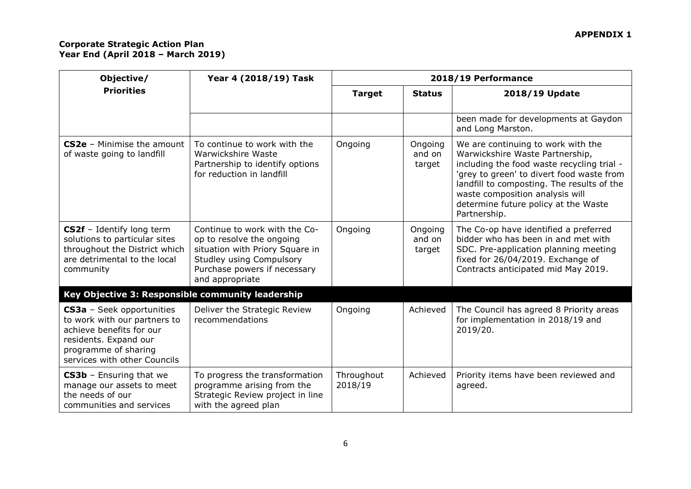| Objective/                                                                                                                                                                    | Year 4 (2018/19) Task                                                                                                                                                               | 2018/19 Performance   |                             |                                                                                                                                                                                                                                                                                                           |
|-------------------------------------------------------------------------------------------------------------------------------------------------------------------------------|-------------------------------------------------------------------------------------------------------------------------------------------------------------------------------------|-----------------------|-----------------------------|-----------------------------------------------------------------------------------------------------------------------------------------------------------------------------------------------------------------------------------------------------------------------------------------------------------|
| <b>Priorities</b>                                                                                                                                                             |                                                                                                                                                                                     | <b>Target</b>         | <b>Status</b>               | 2018/19 Update                                                                                                                                                                                                                                                                                            |
|                                                                                                                                                                               |                                                                                                                                                                                     |                       |                             | been made for developments at Gaydon<br>and Long Marston.                                                                                                                                                                                                                                                 |
| $CS2e$ – Minimise the amount<br>of waste going to landfill                                                                                                                    | To continue to work with the<br>Warwickshire Waste<br>Partnership to identify options<br>for reduction in landfill                                                                  | Ongoing               | Ongoing<br>and on<br>target | We are continuing to work with the<br>Warwickshire Waste Partnership,<br>including the food waste recycling trial -<br>'grey to green' to divert food waste from<br>landfill to composting. The results of the<br>waste composition analysis will<br>determine future policy at the Waste<br>Partnership. |
| CS2f - Identify long term<br>solutions to particular sites<br>throughout the District which<br>are detrimental to the local<br>community                                      | Continue to work with the Co-<br>op to resolve the ongoing<br>situation with Priory Square in<br><b>Studley using Compulsory</b><br>Purchase powers if necessary<br>and appropriate | Ongoing               | Ongoing<br>and on<br>target | The Co-op have identified a preferred<br>bidder who has been in and met with<br>SDC. Pre-application planning meeting<br>fixed for 26/04/2019. Exchange of<br>Contracts anticipated mid May 2019.                                                                                                         |
| Key Objective 3: Responsible community leadership                                                                                                                             |                                                                                                                                                                                     |                       |                             |                                                                                                                                                                                                                                                                                                           |
| <b>CS3a</b> - Seek opportunities<br>to work with our partners to<br>achieve benefits for our<br>residents. Expand our<br>programme of sharing<br>services with other Councils | Deliver the Strategic Review<br>recommendations                                                                                                                                     | Ongoing               | Achieved                    | The Council has agreed 8 Priority areas<br>for implementation in 2018/19 and<br>2019/20.                                                                                                                                                                                                                  |
| <b>CS3b</b> - Ensuring that we<br>manage our assets to meet<br>the needs of our<br>communities and services                                                                   | To progress the transformation<br>programme arising from the<br>Strategic Review project in line<br>with the agreed plan                                                            | Throughout<br>2018/19 | Achieved                    | Priority items have been reviewed and<br>agreed.                                                                                                                                                                                                                                                          |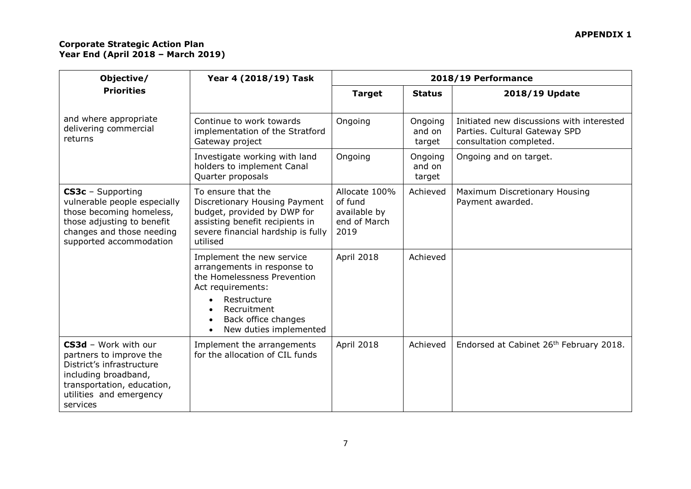| Objective/                                                                                                                                                                | Year 4 (2018/19) Task                                                                                                                                                                       | 2018/19 Performance                                              |                             |                                                                                                       |
|---------------------------------------------------------------------------------------------------------------------------------------------------------------------------|---------------------------------------------------------------------------------------------------------------------------------------------------------------------------------------------|------------------------------------------------------------------|-----------------------------|-------------------------------------------------------------------------------------------------------|
| <b>Priorities</b>                                                                                                                                                         |                                                                                                                                                                                             | <b>Target</b>                                                    | <b>Status</b>               | 2018/19 Update                                                                                        |
| and where appropriate<br>delivering commercial<br>returns                                                                                                                 | Continue to work towards<br>implementation of the Stratford<br>Gateway project                                                                                                              | Ongoing                                                          | Ongoing<br>and on<br>target | Initiated new discussions with interested<br>Parties. Cultural Gateway SPD<br>consultation completed. |
|                                                                                                                                                                           | Investigate working with land<br>holders to implement Canal<br>Quarter proposals                                                                                                            | Ongoing                                                          | Ongoing<br>and on<br>target | Ongoing and on target.                                                                                |
| CS3c - Supporting<br>vulnerable people especially<br>those becoming homeless,<br>those adjusting to benefit<br>changes and those needing<br>supported accommodation       | To ensure that the<br>Discretionary Housing Payment<br>budget, provided by DWP for<br>assisting benefit recipients in<br>severe financial hardship is fully<br>utilised                     | Allocate 100%<br>of fund<br>available by<br>end of March<br>2019 | Achieved                    | Maximum Discretionary Housing<br>Payment awarded.                                                     |
|                                                                                                                                                                           | Implement the new service<br>arrangements in response to<br>the Homelessness Prevention<br>Act requirements:<br>Restructure<br>Recruitment<br>Back office changes<br>New duties implemented | April 2018                                                       | Achieved                    |                                                                                                       |
| CS3d - Work with our<br>partners to improve the<br>District's infrastructure<br>including broadband,<br>transportation, education,<br>utilities and emergency<br>services | Implement the arrangements<br>for the allocation of CIL funds                                                                                                                               | April 2018                                                       | Achieved                    | Endorsed at Cabinet 26th February 2018.                                                               |